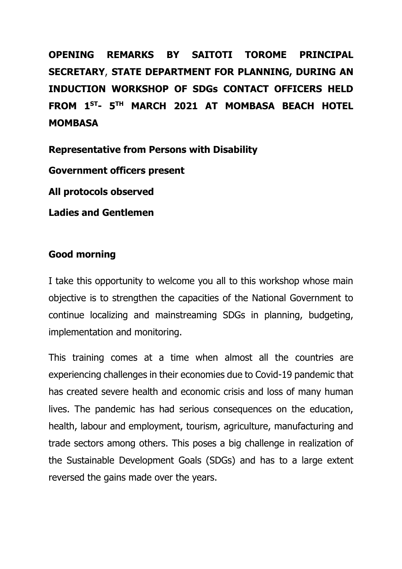**OPENING REMARKS BY SAITOTI TOROME PRINCIPAL SECRETARY**, **STATE DEPARTMENT FOR PLANNING, DURING AN INDUCTION WORKSHOP OF SDGs CONTACT OFFICERS HELD FROM 1 ST- 5 TH MARCH 2021 AT MOMBASA BEACH HOTEL MOMBASA**

**Representative from Persons with Disability**

**Government officers present**

**All protocols observed**

**Ladies and Gentlemen**

### **Good morning**

I take this opportunity to welcome you all to this workshop whose main objective is to strengthen the capacities of the National Government to continue localizing and mainstreaming SDGs in planning, budgeting, implementation and monitoring.

This training comes at a time when almost all the countries are experiencing challenges in their economies due to Covid-19 pandemic that has created severe health and economic crisis and loss of many human lives. The pandemic has had serious consequences on the education, health, labour and employment, tourism, agriculture, manufacturing and trade sectors among others. This poses a big challenge in realization of the Sustainable Development Goals (SDGs) and has to a large extent reversed the gains made over the years.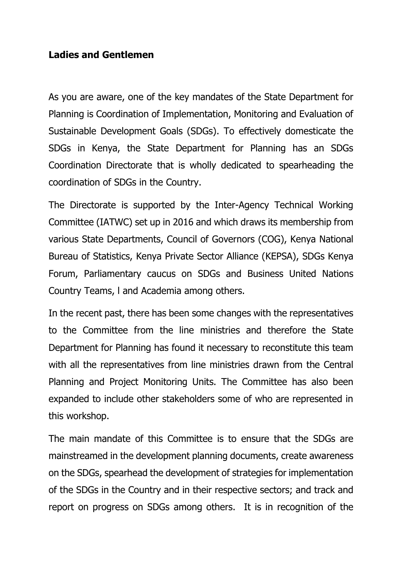## **Ladies and Gentlemen**

As you are aware, one of the key mandates of the State Department for Planning is Coordination of Implementation, Monitoring and Evaluation of Sustainable Development Goals (SDGs). To effectively domesticate the SDGs in Kenya, the State Department for Planning has an SDGs Coordination Directorate that is wholly dedicated to spearheading the coordination of SDGs in the Country.

The Directorate is supported by the Inter-Agency Technical Working Committee (IATWC) set up in 2016 and which draws its membership from various State Departments, Council of Governors (COG), Kenya National Bureau of Statistics, Kenya Private Sector Alliance (KEPSA), SDGs Kenya Forum, Parliamentary caucus on SDGs and Business United Nations Country Teams, l and Academia among others.

In the recent past, there has been some changes with the representatives to the Committee from the line ministries and therefore the State Department for Planning has found it necessary to reconstitute this team with all the representatives from line ministries drawn from the Central Planning and Project Monitoring Units. The Committee has also been expanded to include other stakeholders some of who are represented in this workshop.

The main mandate of this Committee is to ensure that the SDGs are mainstreamed in the development planning documents, create awareness on the SDGs, spearhead the development of strategies for implementation of the SDGs in the Country and in their respective sectors; and track and report on progress on SDGs among others. It is in recognition of the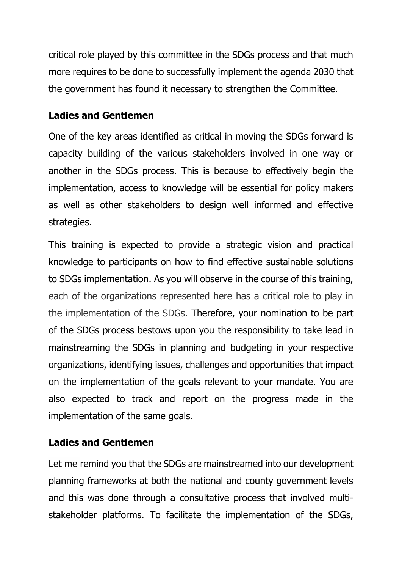critical role played by this committee in the SDGs process and that much more requires to be done to successfully implement the agenda 2030 that the government has found it necessary to strengthen the Committee.

# **Ladies and Gentlemen**

One of the key areas identified as critical in moving the SDGs forward is capacity building of the various stakeholders involved in one way or another in the SDGs process. This is because to effectively begin the implementation, access to knowledge will be essential for policy makers as well as other stakeholders to design well informed and effective strategies.

This training is expected to provide a strategic vision and practical knowledge to participants on how to find effective sustainable solutions to SDGs implementation. As you will observe in the course of this training, each of the organizations represented here has a critical role to play in the implementation of the SDGs. Therefore, your nomination to be part of the SDGs process bestows upon you the responsibility to take lead in mainstreaming the SDGs in planning and budgeting in your respective organizations, identifying issues, challenges and opportunities that impact on the implementation of the goals relevant to your mandate. You are also expected to track and report on the progress made in the implementation of the same goals.

# **Ladies and Gentlemen**

Let me remind you that the SDGs are mainstreamed into our development planning frameworks at both the national and county government levels and this was done through a consultative process that involved multistakeholder platforms. To facilitate the implementation of the SDGs,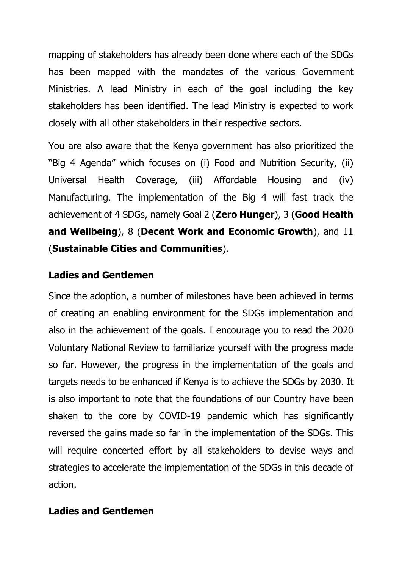mapping of stakeholders has already been done where each of the SDGs has been mapped with the mandates of the various Government Ministries. A lead Ministry in each of the goal including the key stakeholders has been identified. The lead Ministry is expected to work closely with all other stakeholders in their respective sectors.

You are also aware that the Kenya government has also prioritized the "Big 4 Agenda" which focuses on (i) Food and Nutrition Security, (ii) Universal Health Coverage, (iii) Affordable Housing and (iv) Manufacturing. The implementation of the Big 4 will fast track the achievement of 4 SDGs, namely Goal 2 (**Zero Hunger**), 3 (**Good Health and Wellbeing**), 8 (**Decent Work and Economic Growth**), and 11 (**Sustainable Cities and Communities**).

## **Ladies and Gentlemen**

Since the adoption, a number of milestones have been achieved in terms of creating an enabling environment for the SDGs implementation and also in the achievement of the goals. I encourage you to read the 2020 Voluntary National Review to familiarize yourself with the progress made so far. However, the progress in the implementation of the goals and targets needs to be enhanced if Kenya is to achieve the SDGs by 2030. It is also important to note that the foundations of our Country have been shaken to the core by COVID-19 pandemic which has significantly reversed the gains made so far in the implementation of the SDGs. This will require concerted effort by all stakeholders to devise ways and strategies to accelerate the implementation of the SDGs in this decade of action.

### **Ladies and Gentlemen**